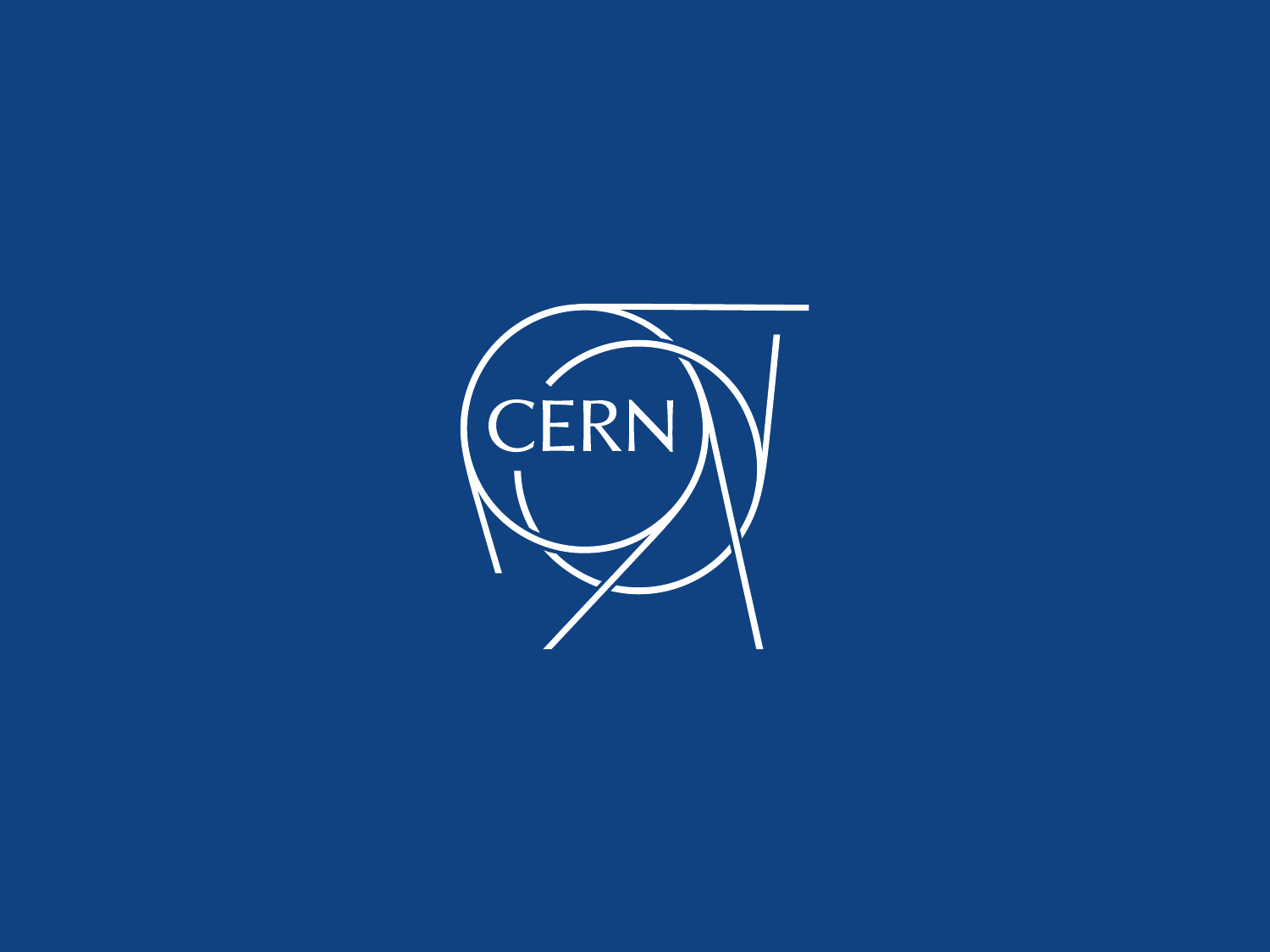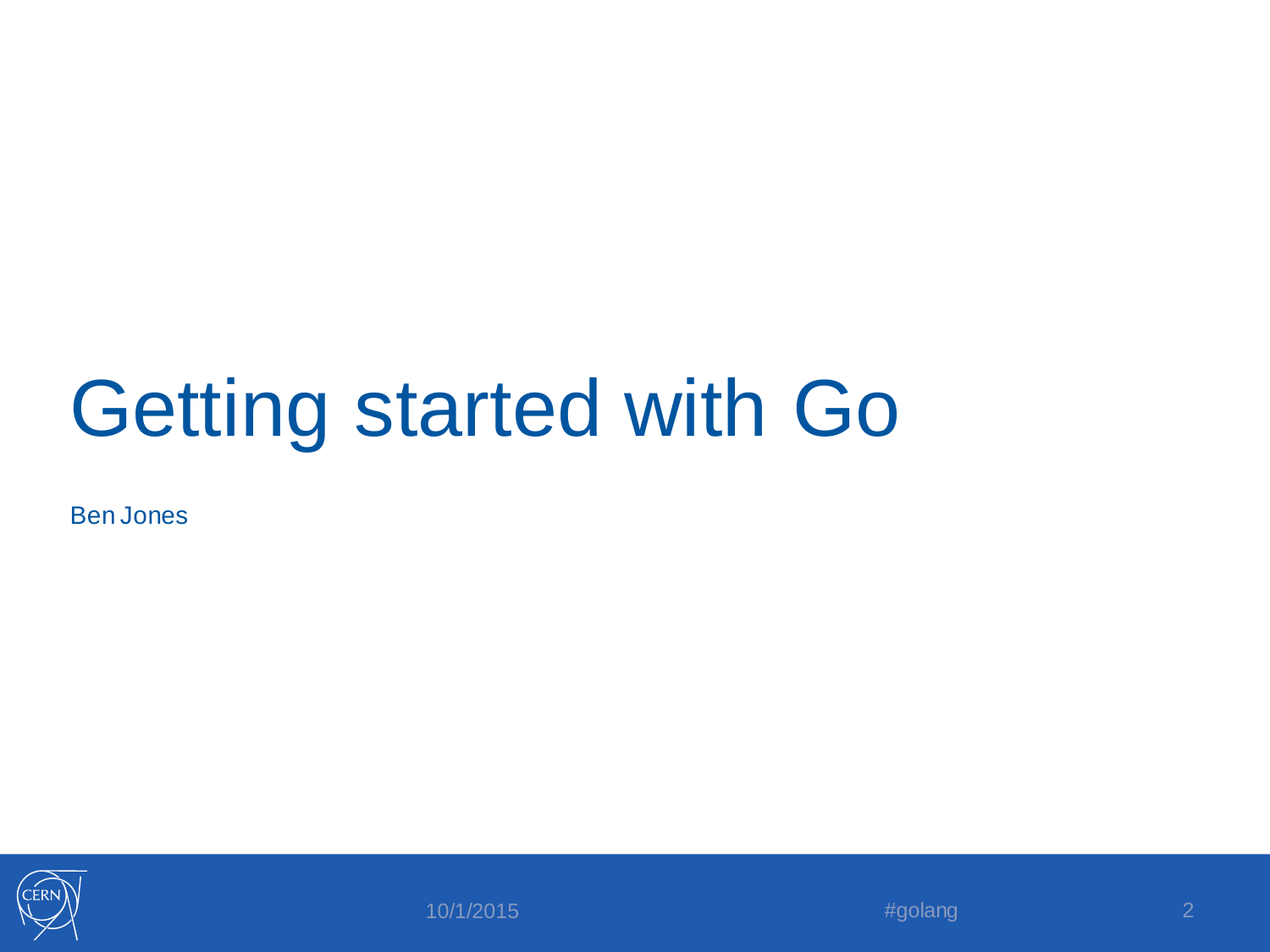#### Getting started with Go

Ben Jones



10/1/2015 **#golang 2**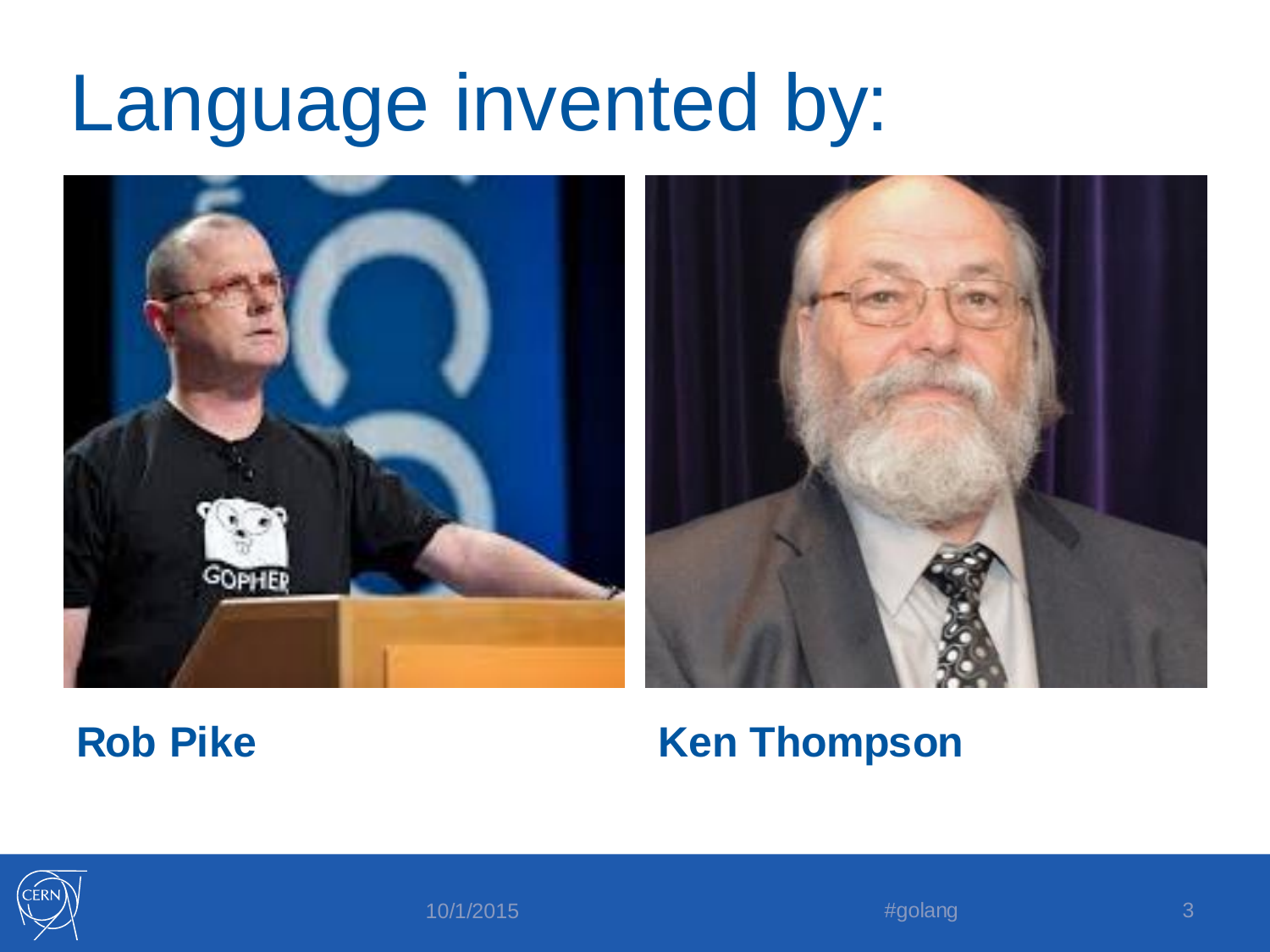#### Language invented by:





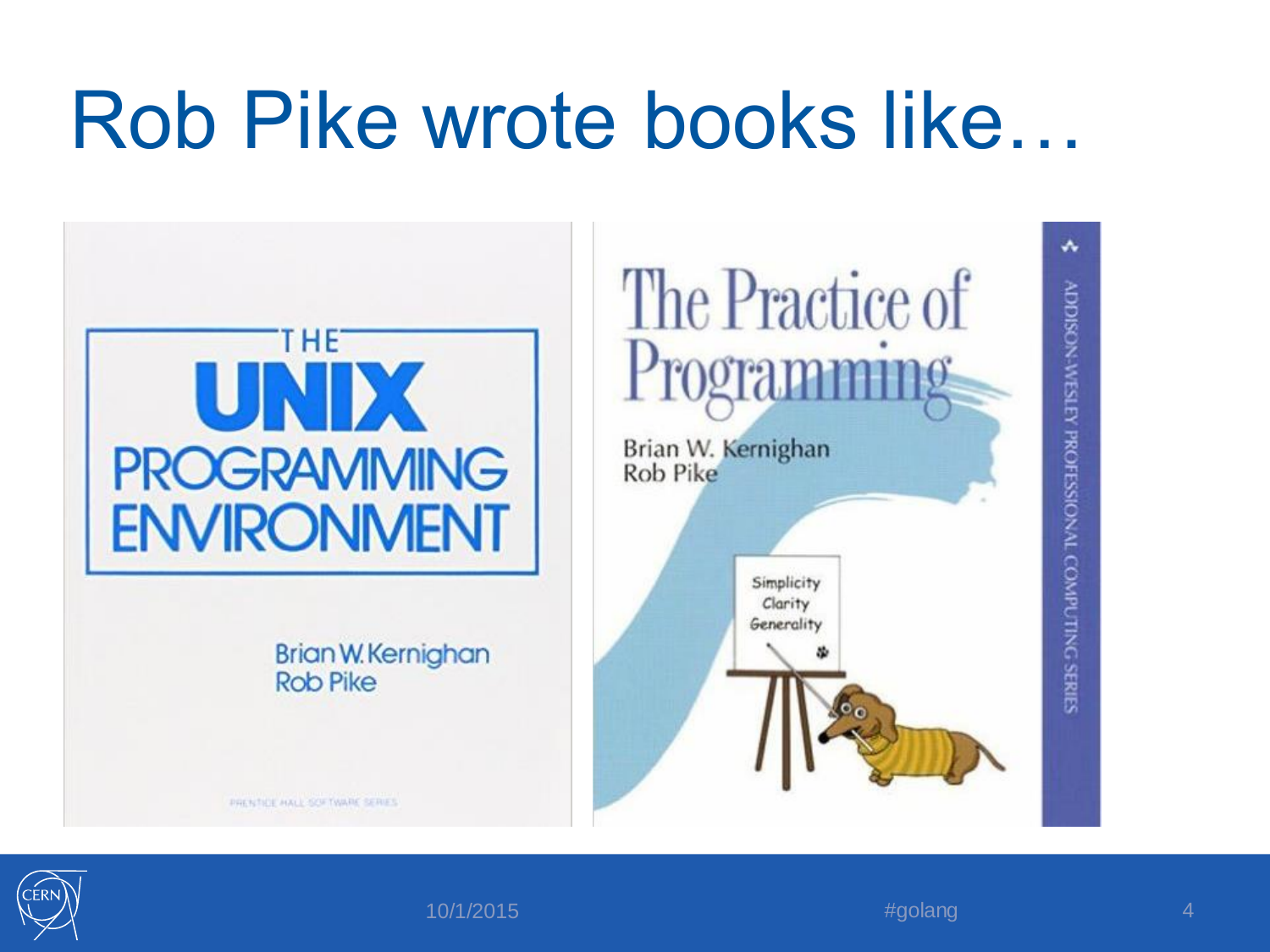### Rob Pike wrote books like…



۸ ADDISON-WESTEY PROFESSIONAL COMPUTING SERIES



 $10/1/2015$   $4/10/1/2015$   $4/10/1/2015$   $4/10/1/2015$   $4/10/1/2015$   $4/10/1/2015$   $4/10/1/2015$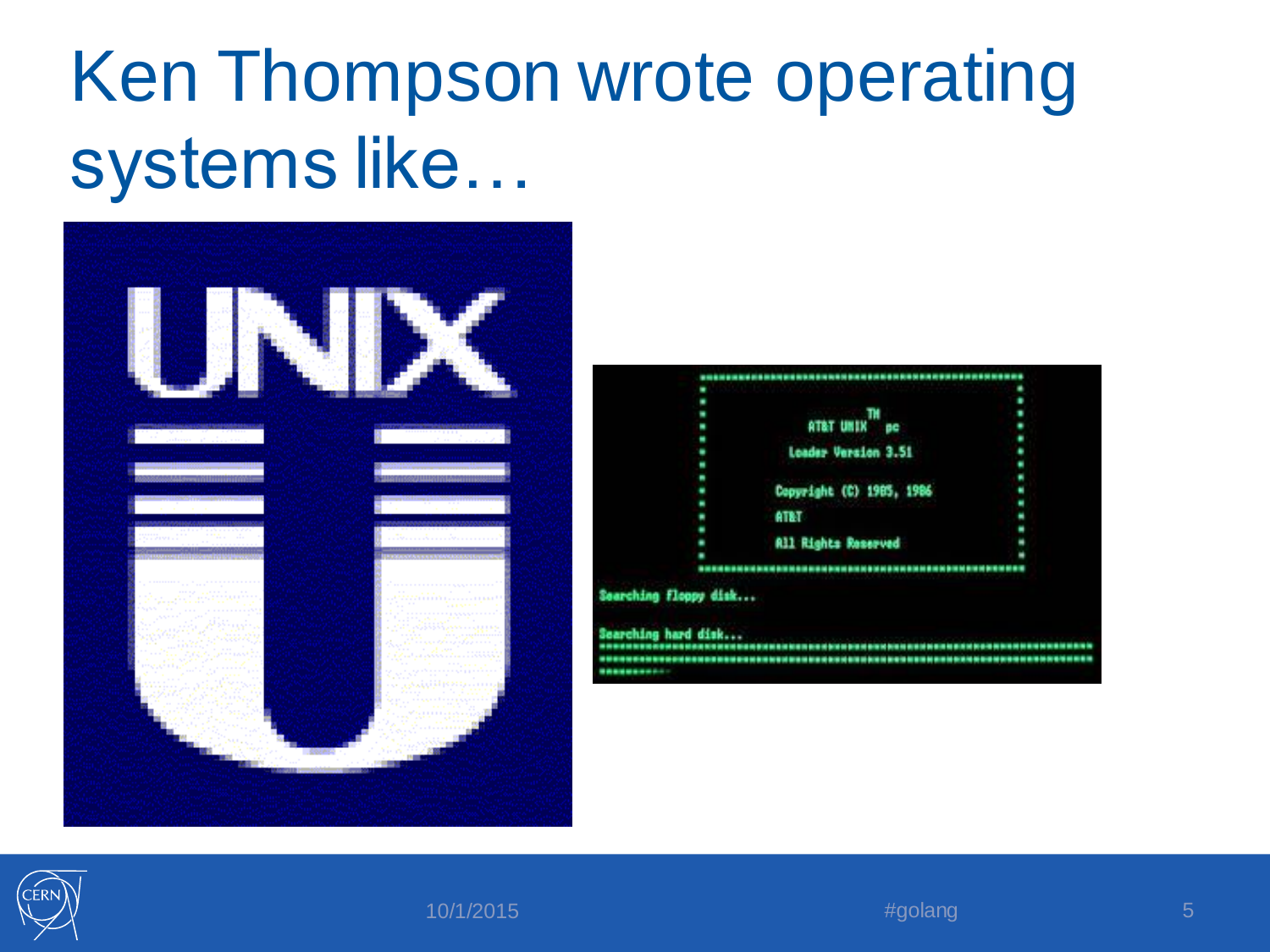#### Ken Thompson wrote operating systems like…





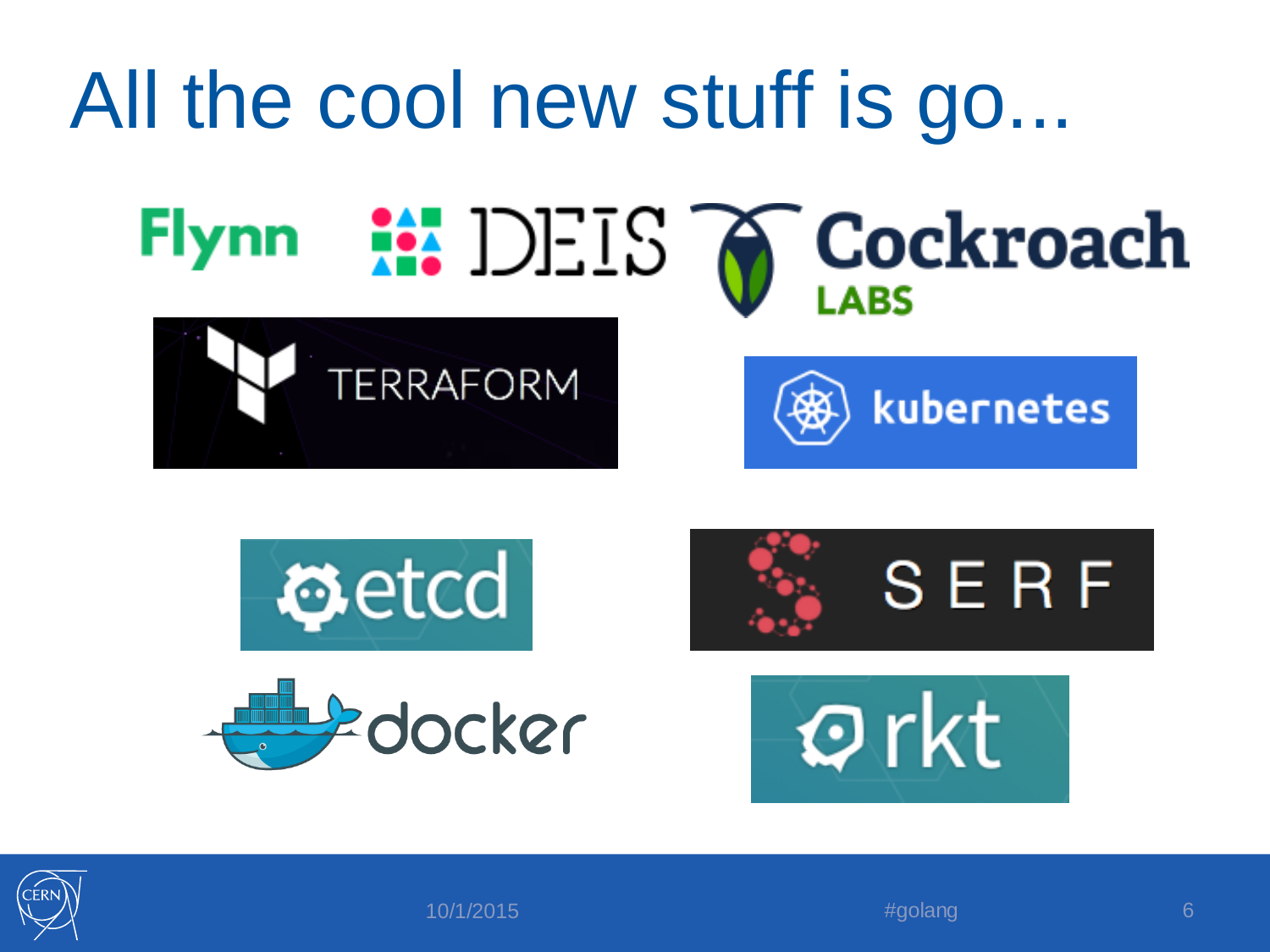

![](_page_5_Picture_1.jpeg)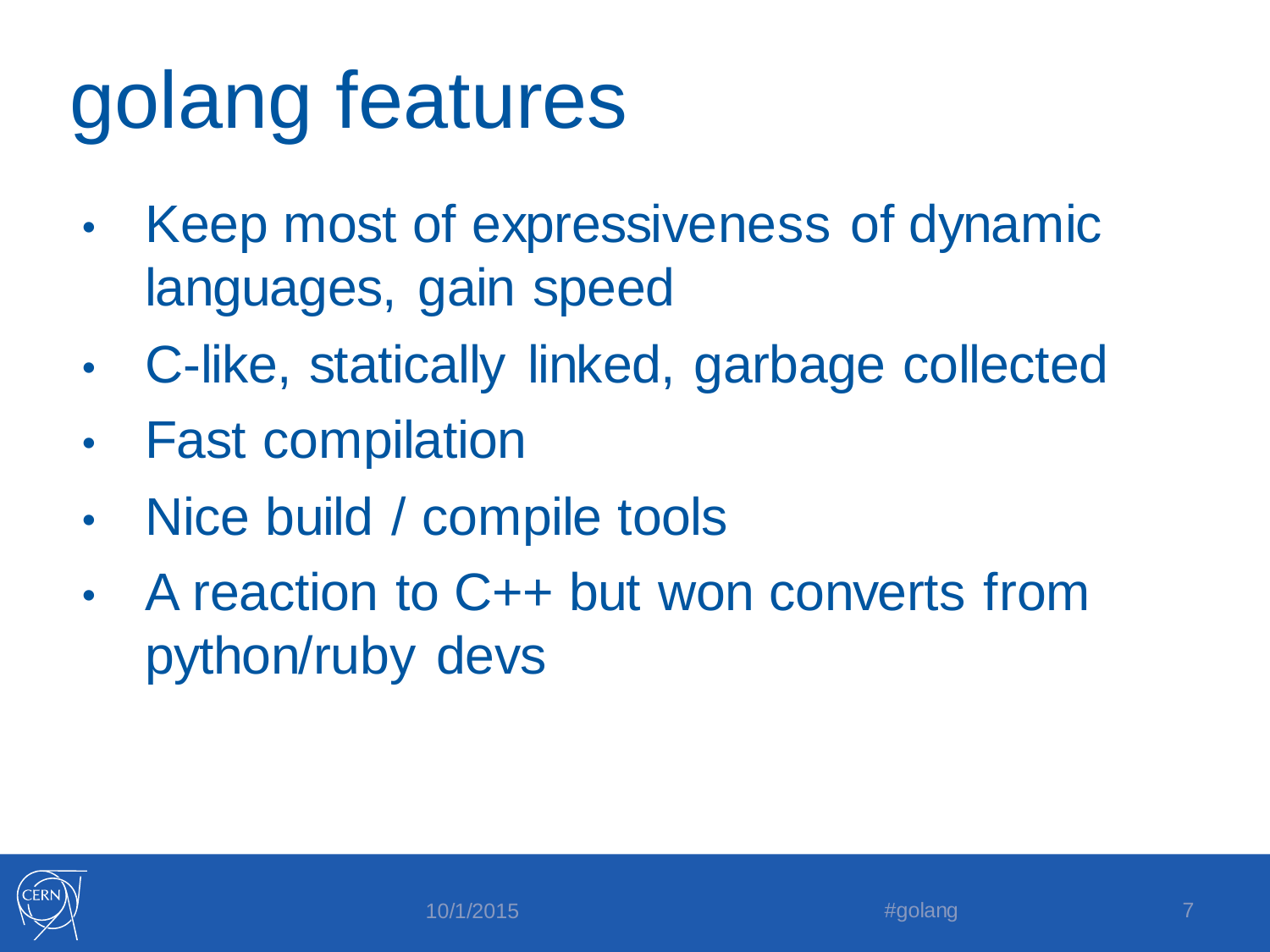# golang features

- Keep most of expressiveness of dynamic languages, gain speed
- C-like, statically linked, garbage collected
- **Fast compilation**
- Nice build / compile tools
- A reaction to C++ but won converts from python/ruby devs

![](_page_6_Picture_6.jpeg)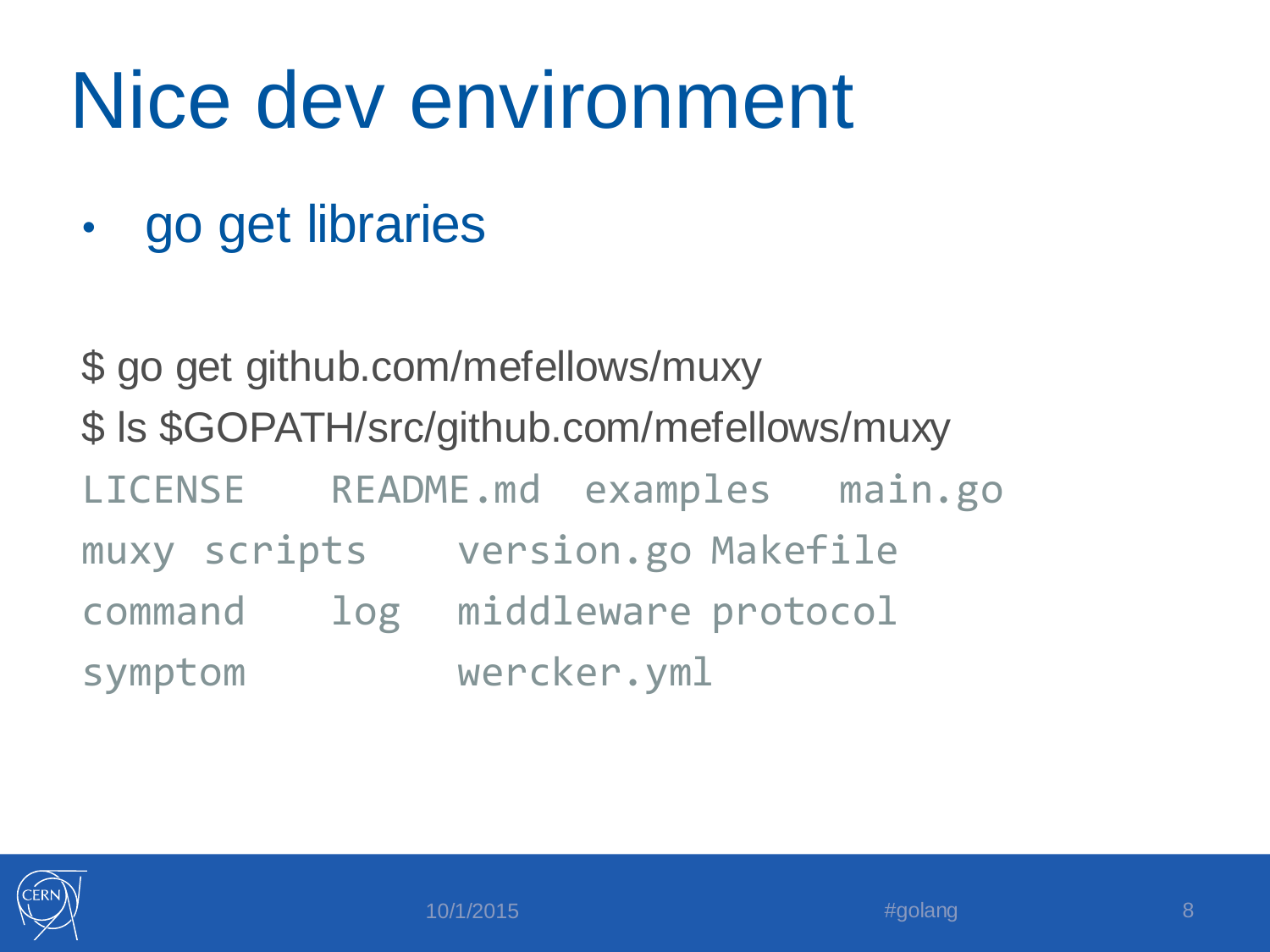# Nice dev environment

• go get libraries

\$ go get github.com/mefellows/muxy \$ ls \$GOPATH/src/github.com/mefellows/muxy LICENSE README.md examples main.go muxy scripts version.go Makefile command log middleware protocol symptom wercker.yml

![](_page_7_Picture_3.jpeg)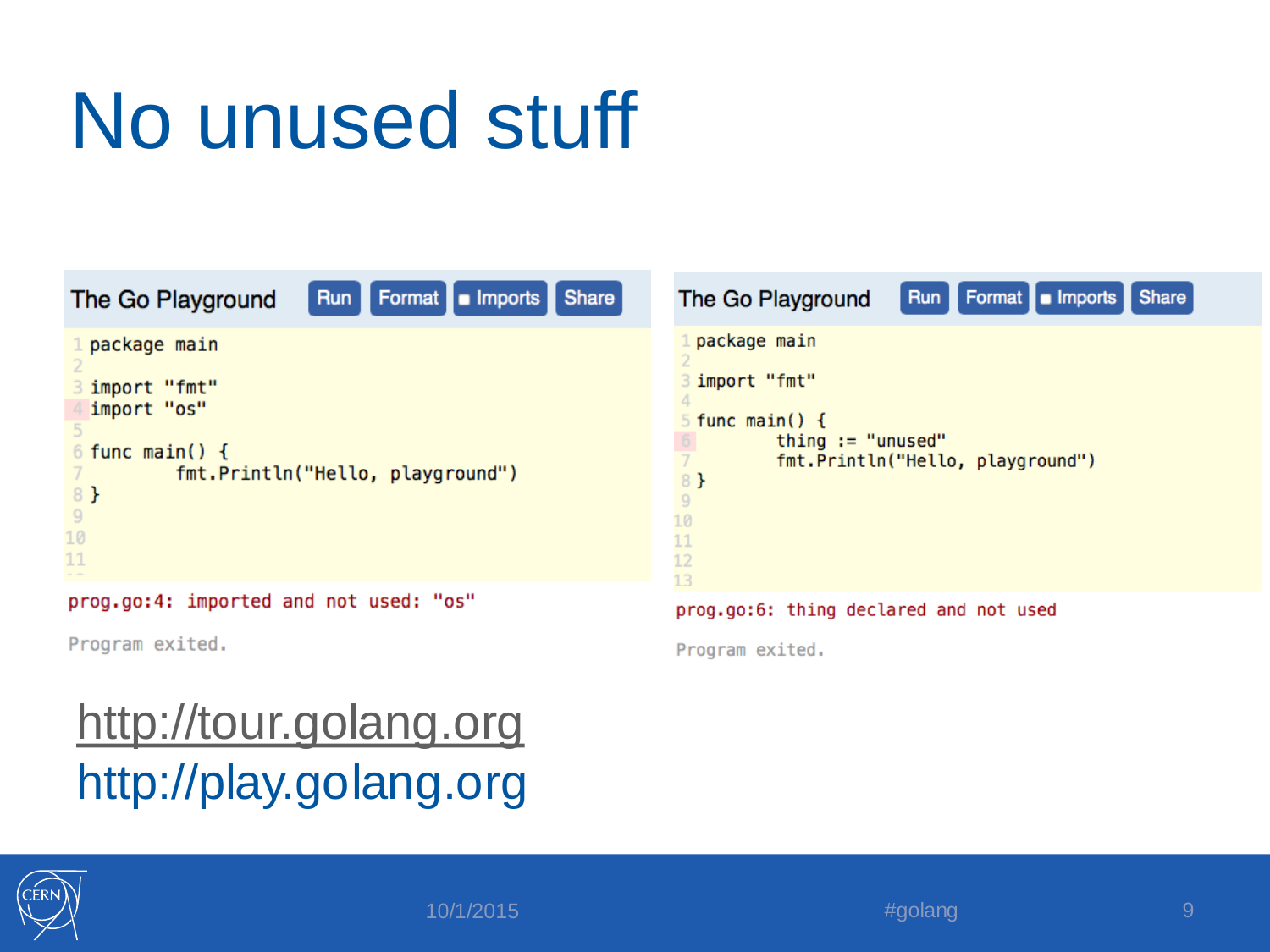# No unused stuff

![](_page_8_Figure_1.jpeg)

Program exited.

#### <http://tour.golang.org> http://play.golang.org

![](_page_8_Picture_4.jpeg)

![](_page_8_Picture_5.jpeg)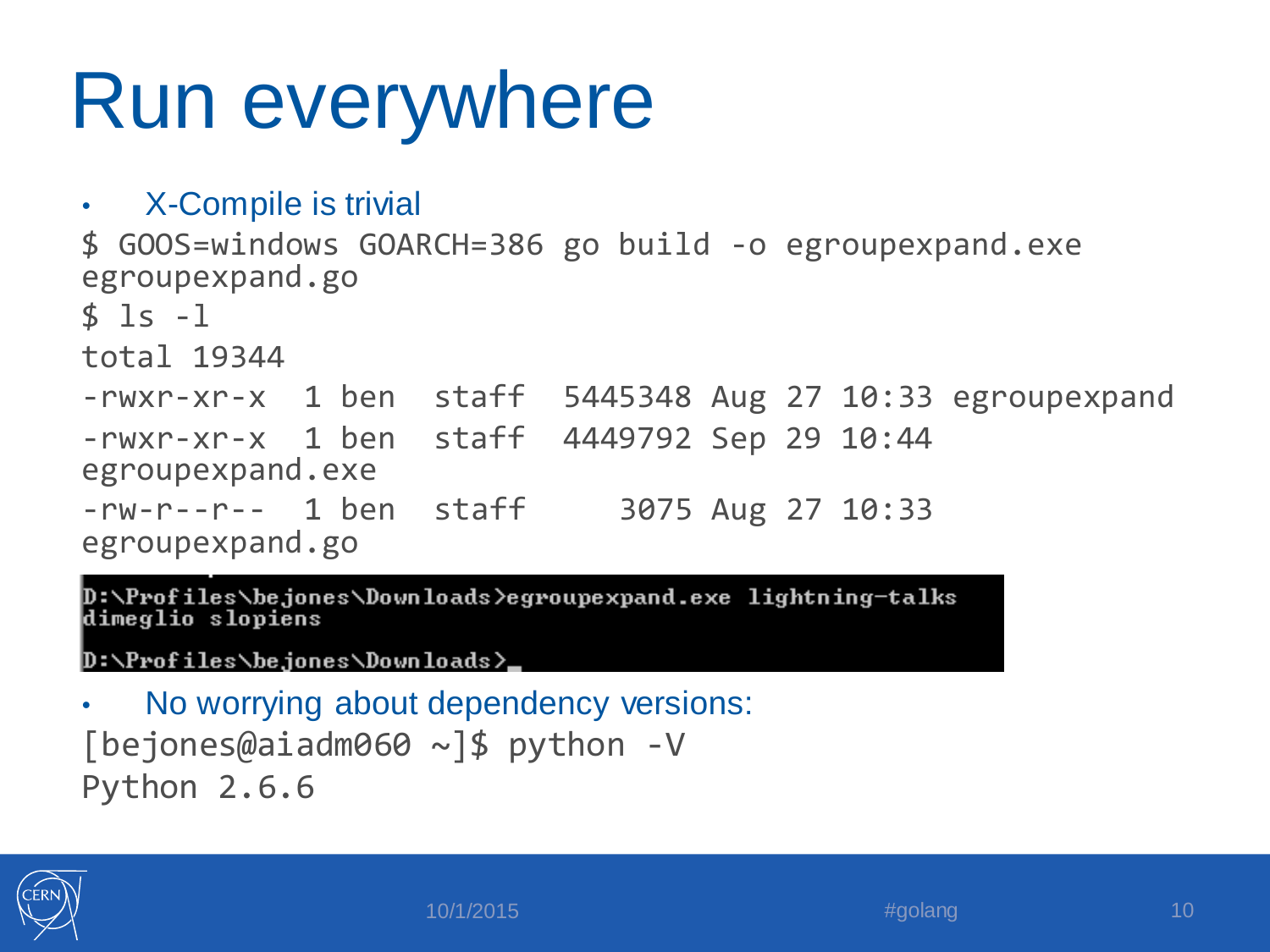# Run everywhere

```
• X-Compile is trivial
$ GOOS=windows GOARCH=386 go build -o egroupexpand.exe
egroupexpand.go
$ 1s -1total 19344
-rwxr-xr-x 1 ben staff 5445348 Aug 27 10:33 egroupexpand
-rwxr-xr-x 1 ben staff 4449792 Sep 29 10:44 
egroupexpand.exe
-rw-r--r-- 1 ben staff 3075 Aug 27 10:33 
egroupexpand.go
```
D:\Profiles\bejones\Downloads>egroupexpand.exe lightning-talks dimeglio slopiens

D:\Profiles\be.iones\Downloads}\_

```
No worrying about dependency versions:
[bejones@aiadm060 ~]$ python -V
Python 2.6.6
```
![](_page_9_Picture_5.jpeg)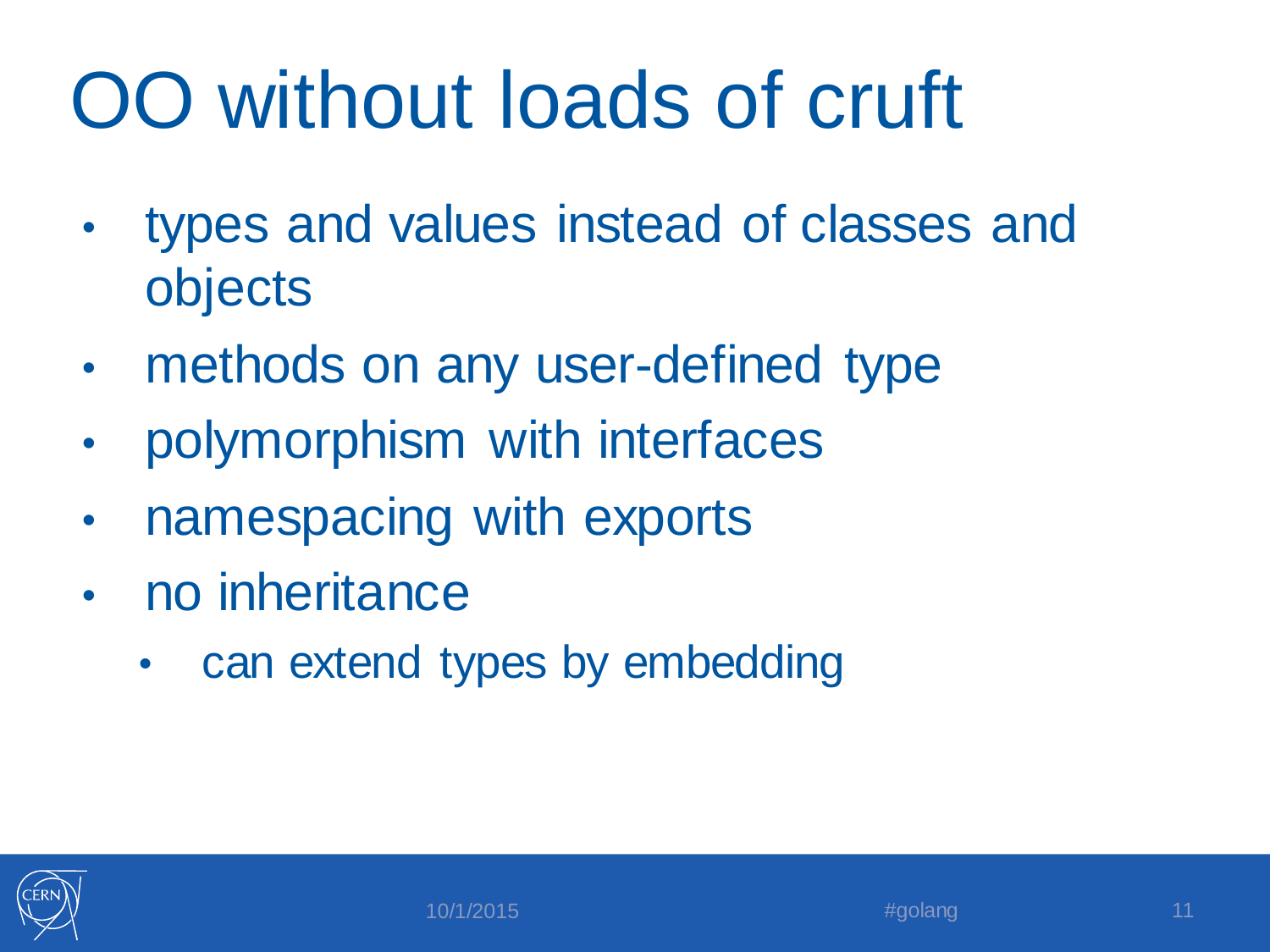# OO without loads of cruft

- types and values instead of classes and objects
- methods on any user-defined type
- polymorphism with interfaces
- namespacing with exports
- no inheritance
	- can extend types by embedding

![](_page_10_Picture_7.jpeg)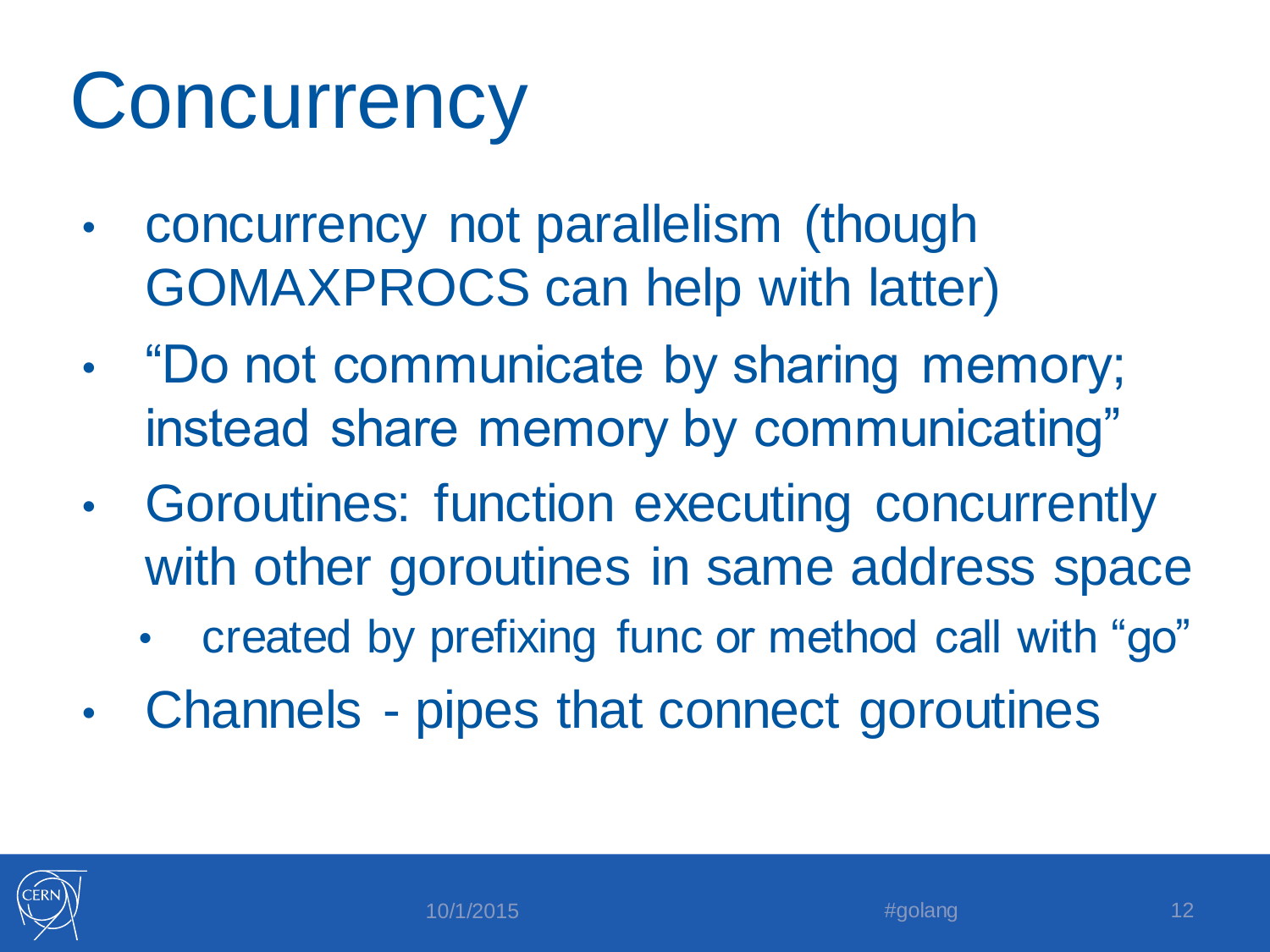# **Concurrency**

- concurrency not parallelism (though GOMAXPROCS can help with latter)
- "Do not communicate by sharing memory; instead share memory by communicating"
- Goroutines: function executing concurrently with other goroutines in same address space
	- created by prefixing func or method call with "go"
- Channels pipes that connect goroutines

![](_page_11_Picture_6.jpeg)